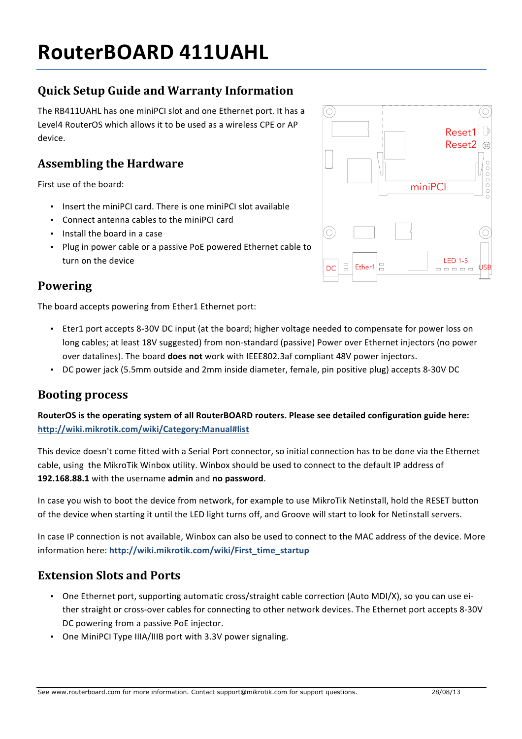# **RouterBOARD 411UAHL**

# **Quick Setup Guide and Warranty Information**

The RB411UAHL has one miniPCI slot and one Ethernet port. It has a Level4 RouterOS which allows it to be used as a wireless CPE or AP device. 

### **Assembling the Hardware**

First use of the board:

- Insert the miniPCI card. There is one miniPCI slot available
- Connect antenna cables to the miniPCI card
- Install the board in a case
- Plug in power cable or a passive PoE powered Ethernet cable to turn on the device

#### **Powering**

The board accepts powering from Ether1 Ethernet port:

• Eter1 port accepts 8-30V DC input (at the board; higher voltage needed to compensate for power loss on long cables; at least 18V suggested) from non-standard (passive) Power over Ethernet injectors (no power over datalines). The board **does not** work with IEEE802.3af compliant 48V power injectors.

O)

DC

• DC power jack (5.5mm outside and 2mm inside diameter, female, pin positive plug) accepts 8-30V DC

#### **Booting process**

RouterOS is the operating system of all RouterBOARD routers. Please see detailed configuration guide here: **http://wiki.mikrotik.com/wiki/Category:Manual#list**

This device doesn't come fitted with a Serial Port connector, so initial connection has to be done via the Ethernet cable, using the MikroTik Winbox utility. Winbox should be used to connect to the default IP address of 192.168.88.1 with the username admin and no password.

In case you wish to boot the device from network, for example to use MikroTik Netinstall, hold the RESET button of the device when starting it until the LED light turns off, and Groove will start to look for Netinstall servers.

In case IP connection is not available. Winbox can also be used to connect to the MAC address of the device. More information here: **http://wiki.mikrotik.com/wiki/First\_time\_startup**

#### **Extension Slots and Ports**

- One Ethernet port, supporting automatic cross/straight cable correction (Auto MDI/X), so you can use either straight or cross-over cables for connecting to other network devices. The Ethernet port accepts 8-30V DC powering from a passive PoE injector.
- One MiniPCI Type IIIA/IIIB port with 3.3V power signaling.



miniPCI

Reset1<sup>1</sup> Reset2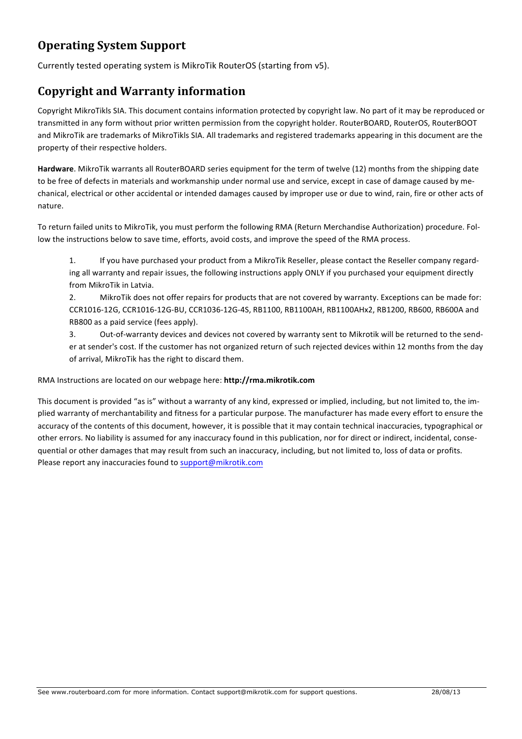# **Operating System Support**

Currently tested operating system is MikroTik RouterOS (starting from v5).

#### **Copyright and Warranty information**

Copyright MikroTikls SIA. This document contains information protected by copyright law. No part of it may be reproduced or transmitted in any form without prior written permission from the copyright holder. RouterBOARD, RouterDS, RouterBOOT and MikroTik are trademarks of MikroTikls SIA. All trademarks and registered trademarks appearing in this document are the property of their respective holders.

Hardware. MikroTik warrants all RouterBOARD series equipment for the term of twelve (12) months from the shipping date to be free of defects in materials and workmanship under normal use and service, except in case of damage caused by mechanical, electrical or other accidental or intended damages caused by improper use or due to wind, rain, fire or other acts of nature.

To return failed units to MikroTik, you must perform the following RMA (Return Merchandise Authorization) procedure. Follow the instructions below to save time, efforts, avoid costs, and improve the speed of the RMA process.

1. If you have purchased your product from a MikroTik Reseller, please contact the Reseller company regarding all warranty and repair issues, the following instructions apply ONLY if you purchased your equipment directly from MikroTik in Latvia.

2. MikroTik does not offer repairs for products that are not covered by warranty. Exceptions can be made for: CCR1016-12G, CCR1016-12G-BU, CCR1036-12G-4S, RB1100, RB1100AH, RB1100AHx2, RB1200, RB600, RB600A and RB800 as a paid service (fees apply).

3. Out-of-warranty devices and devices not covered by warranty sent to Mikrotik will be returned to the sender at sender's cost. If the customer has not organized return of such rejected devices within 12 months from the day of arrival, MikroTik has the right to discard them.

#### RMA Instructions are located on our webpage here: **http://rma.mikrotik.com**

This document is provided "as is" without a warranty of any kind, expressed or implied, including, but not limited to, the implied warranty of merchantability and fitness for a particular purpose. The manufacturer has made every effort to ensure the accuracy of the contents of this document, however, it is possible that it may contain technical inaccuracies, typographical or other errors. No liability is assumed for any inaccuracy found in this publication, nor for direct or indirect, incidental, consequential or other damages that may result from such an inaccuracy, including, but not limited to, loss of data or profits. Please report any inaccuracies found to support@mikrotik.com